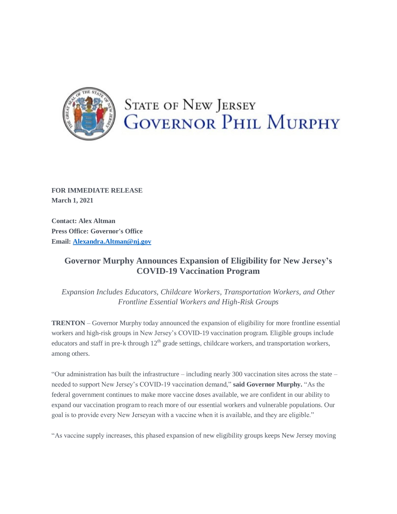

## **STATE OF NEW JERSEY GOVERNOR PHIL MURPHY**

**FOR IMMEDIATE RELEASE March 1, 2021**

**Contact: Alex Altman Press Office: Governor's Office Email: [Alexandra.Altman@nj.gov](mailto:Alexandra.Altman@nj.gov)**

## **Governor Murphy Announces Expansion of Eligibility for New Jersey's COVID-19 Vaccination Program**

*Expansion Includes Educators, Childcare Workers, Transportation Workers, and Other Frontline Essential Workers and High-Risk Groups*

**TRENTON** – Governor Murphy today announced the expansion of eligibility for more frontline essential workers and high-risk groups in New Jersey's COVID-19 vaccination program. Eligible groups include educators and staff in pre-k through 12<sup>th</sup> grade settings, childcare workers, and transportation workers, among others.

"Our administration has built the infrastructure – including nearly 300 vaccination sites across the state – needed to support New Jersey's COVID-19 vaccination demand," **said Governor Murphy.** "As the federal government continues to make more vaccine doses available, we are confident in our ability to expand our vaccination program to reach more of our essential workers and vulnerable populations. Our goal is to provide every New Jerseyan with a vaccine when it is available, and they are eligible."

"As vaccine supply increases, this phased expansion of new eligibility groups keeps New Jersey moving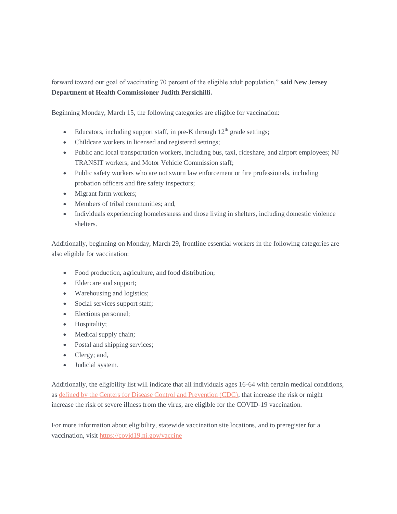forward toward our goal of vaccinating 70 percent of the eligible adult population," **said New Jersey Department of Health Commissioner Judith Persichilli.**

Beginning Monday, March 15, the following categories are eligible for vaccination:

- Educators, including support staff, in pre-K through  $12<sup>th</sup>$  grade settings;
- Childcare workers in licensed and registered settings;
- Public and local transportation workers, including bus, taxi, rideshare, and airport employees; NJ TRANSIT workers; and Motor Vehicle Commission staff;
- Public safety workers who are not sworn law enforcement or fire professionals, including probation officers and fire safety inspectors;
- Migrant farm workers;
- Members of tribal communities; and,
- Individuals experiencing homelessness and those living in shelters, including domestic violence shelters.

Additionally, beginning on Monday, March 29, frontline essential workers in the following categories are also eligible for vaccination:

- Food production, agriculture, and food distribution;
- Eldercare and support;
- Warehousing and logistics;
- Social services support staff;
- Elections personnel;
- Hospitality;
- Medical supply chain;
- Postal and shipping services;
- Clergy; and,
- Judicial system.

Additionally, the eligibility list will indicate that all individuals ages 16-64 with certain medical conditions, as [defined by the Centers for Disease Control and Prevention \(CDC\),](https://urldefense.com/v3/__https:/t.e2ma.net/click/jc33ae/j83xrcb/f9l9vn__;!!J30X0ZrnC1oQtbA!abO8V2wQoP2y2iKx2-jaj0G6S747J-7h-dbxOXnV3vSBhwHvhSTG4O2B6Y3Mco8VUklEkH9k$) that increase the risk or might increase the risk of severe illness from the virus, are eligible for the COVID-19 vaccination.

For more information about eligibility, statewide vaccination site locations, and to preregister for a vaccination, visit [https://covid19.nj.gov/vaccine](https://urldefense.com/v3/__https:/t.e2ma.net/click/jc33ae/j83xrcb/v1m9vn__;!!J30X0ZrnC1oQtbA!abO8V2wQoP2y2iKx2-jaj0G6S747J-7h-dbxOXnV3vSBhwHvhSTG4O2B6Y3Mco8VUtamu9QH$)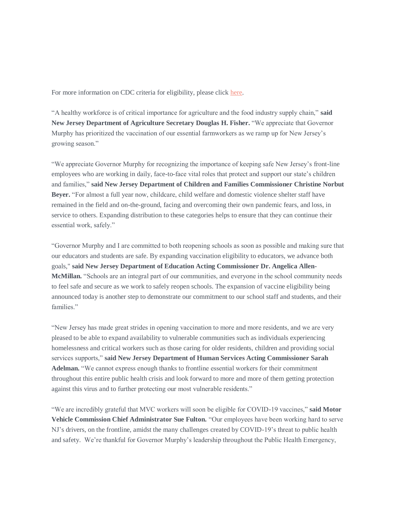For more information on CDC criteria for eligibility, please click [here.](https://urldefense.com/v3/__https:/t.e2ma.net/click/jc33ae/j83xrcb/bun9vn__;!!J30X0ZrnC1oQtbA!abO8V2wQoP2y2iKx2-jaj0G6S747J-7h-dbxOXnV3vSBhwHvhSTG4O2B6Y3Mco8VUp0sKW6n$)

"A healthy workforce is of critical importance for agriculture and the food industry supply chain," **said New Jersey Department of Agriculture Secretary Douglas H. Fisher.** "We appreciate that Governor Murphy has prioritized the vaccination of our essential farmworkers as we ramp up for New Jersey's growing season."

"We appreciate Governor Murphy for recognizing the importance of keeping safe New Jersey's front-line employees who are working in daily, face-to-face vital roles that protect and support our state's children and families," **said New Jersey Department of Children and Families Commissioner Christine Norbut**  Beyer. "For almost a full year now, childcare, child welfare and domestic violence shelter staff have remained in the field and on-the-ground, facing and overcoming their own pandemic fears, and loss, in service to others. Expanding distribution to these categories helps to ensure that they can continue their essential work, safely."

"Governor Murphy and I are committed to both reopening schools as soon as possible and making sure that our educators and students are safe. By expanding vaccination eligibility to educators, we advance both goals," **said New Jersey Department of Education Acting Commissioner Dr. Angelica Allen-McMillan.** "Schools are an integral part of our communities, and everyone in the school community needs to feel safe and secure as we work to safely reopen schools. The expansion of vaccine eligibility being announced today is another step to demonstrate our commitment to our school staff and students, and their families."

"New Jersey has made great strides in opening vaccination to more and more residents, and we are very pleased to be able to expand availability to vulnerable communities such as individuals experiencing homelessness and critical workers such as those caring for older residents, children and providing social services supports," **said New Jersey Department of Human Services Acting Commissioner Sarah Adelman.** "We cannot express enough thanks to frontline essential workers for their commitment throughout this entire public health crisis and look forward to more and more of them getting protection against this virus and to further protecting our most vulnerable residents."

"We are incredibly grateful that MVC workers will soon be eligible for COVID-19 vaccines," **said Motor Vehicle Commission Chief Administrator Sue Fulton.** "Our employees have been working hard to serve NJ's drivers, on the frontline, amidst the many challenges created by COVID-19's threat to public health and safety. We're thankful for Governor Murphy's leadership throughout the Public Health Emergency,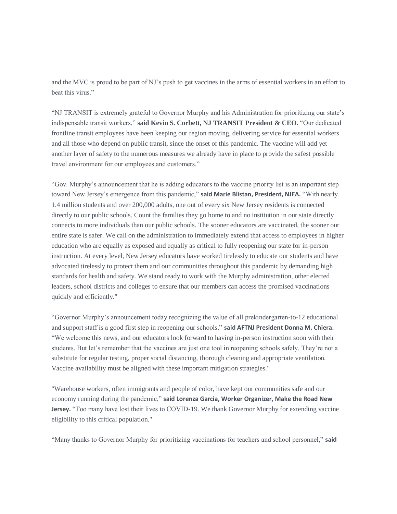and the MVC is proud to be part of NJ's push to get vaccines in the arms of essential workers in an effort to beat this virus."

"NJ TRANSIT is extremely grateful to Governor Murphy and his Administration for prioritizing our state's indispensable transit workers," **said Kevin S. Corbett, NJ TRANSIT President & CEO.** "Our dedicated frontline transit employees have been keeping our region moving, delivering service for essential workers and all those who depend on public transit, since the onset of this pandemic. The vaccine will add yet another layer of safety to the numerous measures we already have in place to provide the safest possible travel environment for our employees and customers."

"Gov. Murphy's announcement that he is adding educators to the vaccine priority list is an important step toward New Jersey's emergence from this pandemic," **said Marie Blistan, President, NJEA.** "With nearly 1.4 million students and over 200,000 adults, one out of every six New Jersey residents is connected directly to our public schools. Count the families they go home to and no institution in our state directly connects to more individuals than our public schools. The sooner educators are vaccinated, the sooner our entire state is safer. We call on the administration to immediately extend that access to employees in higher education who are equally as exposed and equally as critical to fully reopening our state for in-person instruction. At every level, New Jersey educators have worked tirelessly to educate our students and have advocated tirelessly to protect them and our communities throughout this pandemic by demanding high standards for health and safety. We stand ready to work with the Murphy administration, other elected leaders, school districts and colleges to ensure that our members can access the promised vaccinations quickly and efficiently."

"Governor Murphy's announcement today recognizing the value of all prekindergarten-to-12 educational and support staff is a good first step in reopening our schools," **said AFTNJ President Donna M. Chiera.**  "We welcome this news, and our educators look forward to having in-person instruction soon with their students. But let's remember that the vaccines are just one tool in reopening schools safely. They're not a substitute for regular testing, proper social distancing, thorough cleaning and appropriate ventilation. Vaccine availability must be aligned with these important mitigation strategies."

"Warehouse workers, often immigrants and people of color, have kept our communities safe and our economy running during the pandemic," **said Lorenza Garcia, Worker Organizer, Make the Road New Jersey.** "Too many have lost their lives to COVID-19. We thank Governor Murphy for extending vaccine eligibility to this critical population."

"Many thanks to Governor Murphy for prioritizing vaccinations for teachers and school personnel," **said**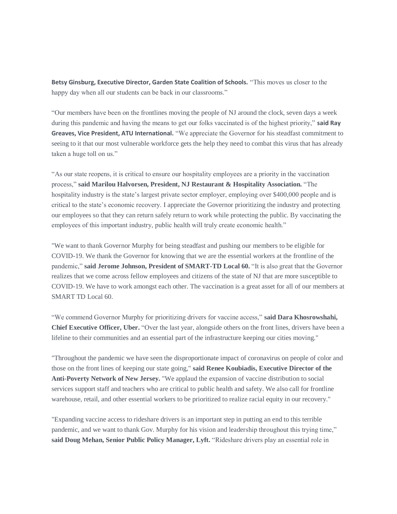**Betsy Ginsburg, Executive Director, Garden State Coalition of Schools.** "This moves us closer to the happy day when all our students can be back in our classrooms."

"Our members have been on the frontlines moving the people of NJ around the clock, seven days a week during this pandemic and having the means to get our folks vaccinated is of the highest priority," **said Ray Greaves, Vice President, ATU International.** "We appreciate the Governor for his steadfast commitment to seeing to it that our most vulnerable workforce gets the help they need to combat this virus that has already taken a huge toll on us."

"As our state reopens, it is critical to ensure our hospitality employees are a priority in the vaccination process," **said Marilou Halvorsen, President, NJ Restaurant & Hospitality Association.** "The hospitality industry is the state's largest private sector employer, employing over \$400,000 people and is critical to the state's economic recovery. I appreciate the Governor prioritizing the industry and protecting our employees so that they can return safely return to work while protecting the public. By vaccinating the employees of this important industry, public health will truly create economic health."

"We want to thank Governor Murphy for being steadfast and pushing our members to be eligible for COVID-19. We thank the Governor for knowing that we are the essential workers at the frontline of the pandemic," **said Jerome Johnson, President of SMART-TD Local 60.** "It is also great that the Governor realizes that we come across fellow employees and citizens of the state of NJ that are more susceptible to COVID-19. We have to work amongst each other. The vaccination is a great asset for all of our members at SMART TD Local 60.

"We commend Governor Murphy for prioritizing drivers for vaccine access," **said Dara Khosrowshahi, Chief Executive Officer, Uber.** "Over the last year, alongside others on the front lines, drivers have been a lifeline to their communities and an essential part of the infrastructure keeping our cities moving."

"Throughout the pandemic we have seen the disproportionate impact of coronavirus on people of color and those on the front lines of keeping our state going," **said Renee Koubiadis, Executive Director of the Anti-Poverty Network of New Jersey.** "We applaud the expansion of vaccine distribution to social services support staff and teachers who are critical to public health and safety. We also call for frontline warehouse, retail, and other essential workers to be prioritized to realize racial equity in our recovery."

"Expanding vaccine access to rideshare drivers is an important step in putting an end to this terrible pandemic, and we want to thank Gov. Murphy for his vision and leadership throughout this trying time," **said Doug Mehan, Senior Public Policy Manager, Lyft.** "Rideshare drivers play an essential role in